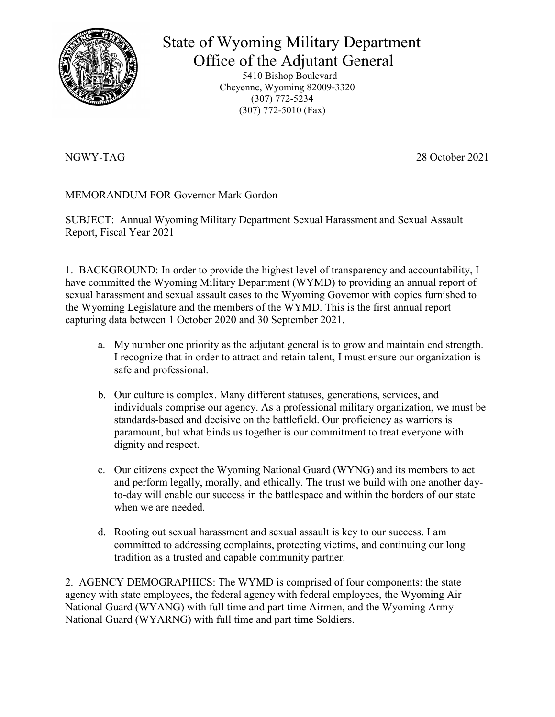

# State of Wyoming Military Department

 Office of the Adjutant General 5410 Bishop Boulevard Cheyenne, Wyoming 82009-3320 (307) 772-5234 (307) 772-5010 (Fax)

NGWY-TAG 28 October 2021

MEMORANDUM FOR Governor Mark Gordon

SUBJECT: Annual Wyoming Military Department Sexual Harassment and Sexual Assault Report, Fiscal Year 2021

1. BACKGROUND: In order to provide the highest level of transparency and accountability, I have committed the Wyoming Military Department (WYMD) to providing an annual report of sexual harassment and sexual assault cases to the Wyoming Governor with copies furnished to the Wyoming Legislature and the members of the WYMD. This is the first annual report capturing data between 1 October 2020 and 30 September 2021.

- a. My number one priority as the adjutant general is to grow and maintain end strength. I recognize that in order to attract and retain talent, I must ensure our organization is safe and professional.
- b. Our culture is complex. Many different statuses, generations, services, and individuals comprise our agency. As a professional military organization, we must be standards-based and decisive on the battlefield. Our proficiency as warriors is paramount, but what binds us together is our commitment to treat everyone with dignity and respect.
- c. Our citizens expect the Wyoming National Guard (WYNG) and its members to act and perform legally, morally, and ethically. The trust we build with one another dayto-day will enable our success in the battlespace and within the borders of our state when we are needed.
- d. Rooting out sexual harassment and sexual assault is key to our success. I am committed to addressing complaints, protecting victims, and continuing our long tradition as a trusted and capable community partner.

2. AGENCY DEMOGRAPHICS: The WYMD is comprised of four components: the state agency with state employees, the federal agency with federal employees, the Wyoming Air National Guard (WYANG) with full time and part time Airmen, and the Wyoming Army National Guard (WYARNG) with full time and part time Soldiers.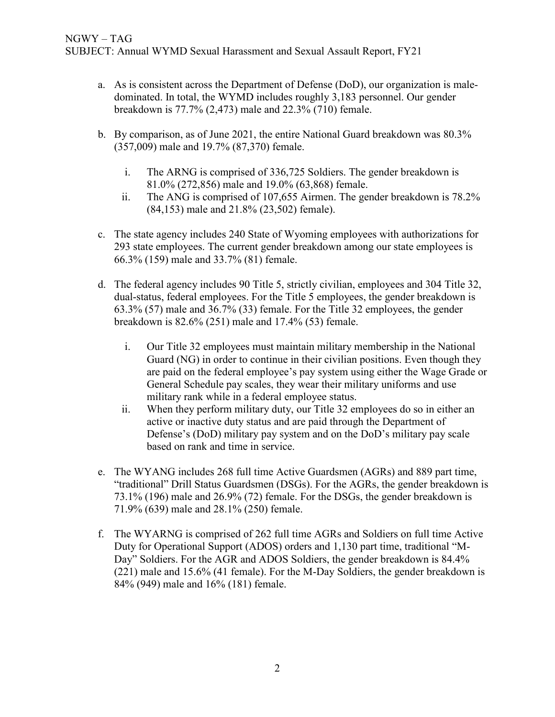- a. As is consistent across the Department of Defense (DoD), our organization is maledominated. In total, the WYMD includes roughly 3,183 personnel. Our gender breakdown is 77.7% (2,473) male and 22.3% (710) female.
- b. By comparison, as of June 2021, the entire National Guard breakdown was 80.3% (357,009) male and 19.7% (87,370) female.
	- i. The ARNG is comprised of 336,725 Soldiers. The gender breakdown is 81.0% (272,856) male and 19.0% (63,868) female.
	- ii. The ANG is comprised of 107,655 Airmen. The gender breakdown is 78.2% (84,153) male and 21.8% (23,502) female).
- c. The state agency includes 240 State of Wyoming employees with authorizations for 293 state employees. The current gender breakdown among our state employees is 66.3% (159) male and 33.7% (81) female.
- d. The federal agency includes 90 Title 5, strictly civilian, employees and 304 Title 32, dual-status, federal employees. For the Title 5 employees, the gender breakdown is 63.3% (57) male and 36.7% (33) female. For the Title 32 employees, the gender breakdown is 82.6% (251) male and 17.4% (53) female.
	- i. Our Title 32 employees must maintain military membership in the National Guard (NG) in order to continue in their civilian positions. Even though they are paid on the federal employee's pay system using either the Wage Grade or General Schedule pay scales, they wear their military uniforms and use military rank while in a federal employee status.
	- ii. When they perform military duty, our Title 32 employees do so in either an active or inactive duty status and are paid through the Department of Defense's (DoD) military pay system and on the DoD's military pay scale based on rank and time in service.
- e. The WYANG includes 268 full time Active Guardsmen (AGRs) and 889 part time, "traditional" Drill Status Guardsmen (DSGs). For the AGRs, the gender breakdown is 73.1% (196) male and 26.9% (72) female. For the DSGs, the gender breakdown is 71.9% (639) male and 28.1% (250) female.
- f. The WYARNG is comprised of 262 full time AGRs and Soldiers on full time Active Duty for Operational Support (ADOS) orders and 1,130 part time, traditional "M-Day" Soldiers. For the AGR and ADOS Soldiers, the gender breakdown is 84.4% (221) male and 15.6% (41 female). For the M-Day Soldiers, the gender breakdown is 84% (949) male and 16% (181) female.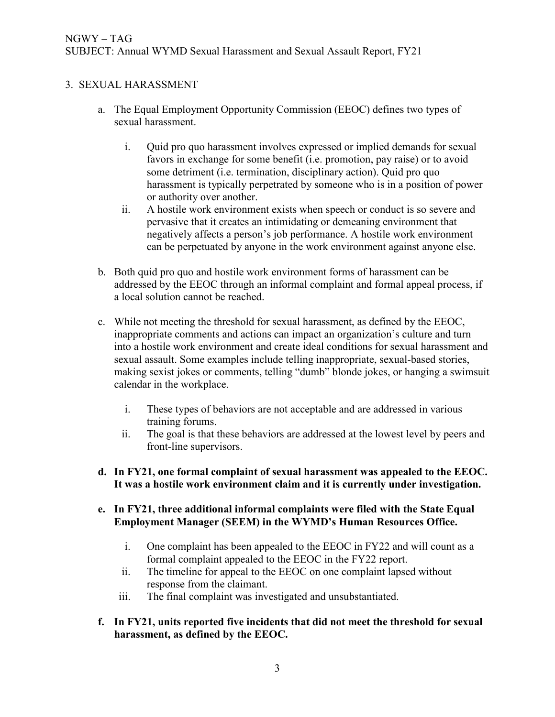#### 3. SEXUAL HARASSMENT

- a. The Equal Employment Opportunity Commission (EEOC) defines two types of sexual harassment.
	- i. Quid pro quo harassment involves expressed or implied demands for sexual favors in exchange for some benefit (i.e. promotion, pay raise) or to avoid some detriment (i.e. termination, disciplinary action). Quid pro quo harassment is typically perpetrated by someone who is in a position of power or authority over another.
	- ii. A hostile work environment exists when speech or conduct is so severe and pervasive that it creates an intimidating or demeaning environment that negatively affects a person's job performance. A hostile work environment can be perpetuated by anyone in the work environment against anyone else.
- b. Both quid pro quo and hostile work environment forms of harassment can be addressed by the EEOC through an informal complaint and formal appeal process, if a local solution cannot be reached.
- c. While not meeting the threshold for sexual harassment, as defined by the EEOC, inappropriate comments and actions can impact an organization's culture and turn into a hostile work environment and create ideal conditions for sexual harassment and sexual assault. Some examples include telling inappropriate, sexual-based stories, making sexist jokes or comments, telling "dumb" blonde jokes, or hanging a swimsuit calendar in the workplace.
	- i. These types of behaviors are not acceptable and are addressed in various training forums.
	- ii. The goal is that these behaviors are addressed at the lowest level by peers and front-line supervisors.
- **d. In FY21, one formal complaint of sexual harassment was appealed to the EEOC. It was a hostile work environment claim and it is currently under investigation.**
- **e. In FY21, three additional informal complaints were filed with the State Equal Employment Manager (SEEM) in the WYMD's Human Resources Office.**
	- i. One complaint has been appealed to the EEOC in FY22 and will count as a formal complaint appealed to the EEOC in the FY22 report.
	- ii. The timeline for appeal to the EEOC on one complaint lapsed without response from the claimant.
	- iii. The final complaint was investigated and unsubstantiated.
- **f. In FY21, units reported five incidents that did not meet the threshold for sexual harassment, as defined by the EEOC.**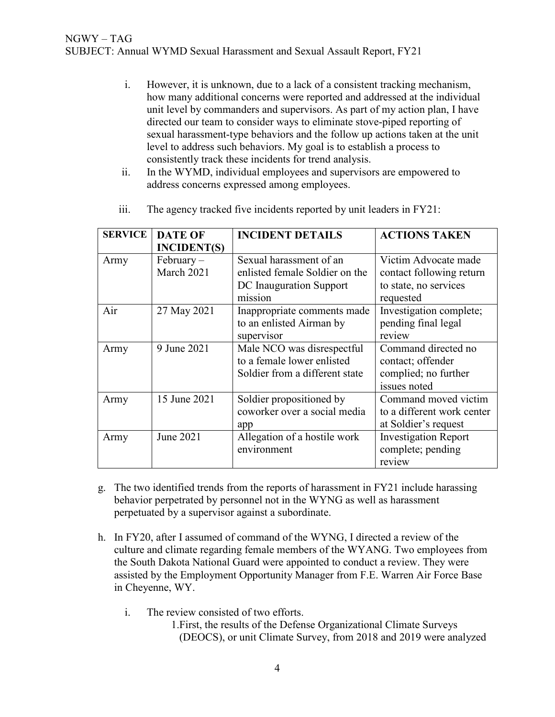- i. However, it is unknown, due to a lack of a consistent tracking mechanism, how many additional concerns were reported and addressed at the individual unit level by commanders and supervisors. As part of my action plan, I have directed our team to consider ways to eliminate stove-piped reporting of sexual harassment-type behaviors and the follow up actions taken at the unit level to address such behaviors. My goal is to establish a process to consistently track these incidents for trend analysis.
- ii. In the WYMD, individual employees and supervisors are empowered to address concerns expressed among employees.

| <b>SERVICE</b> | <b>DATE OF</b><br><b>INCIDENT(S)</b> | <b>INCIDENT DETAILS</b>                                                                         | <b>ACTIONS TAKEN</b>                                                                   |
|----------------|--------------------------------------|-------------------------------------------------------------------------------------------------|----------------------------------------------------------------------------------------|
| Army           | $February -$<br>March 2021           | Sexual harassment of an<br>enlisted female Soldier on the<br>DC Inauguration Support<br>mission | Victim Advocate made<br>contact following return<br>to state, no services<br>requested |
| Air            | 27 May 2021                          | Inappropriate comments made<br>to an enlisted Airman by<br>supervisor                           | Investigation complete;<br>pending final legal<br>review                               |
| Army           | 9 June 2021                          | Male NCO was disrespectful<br>to a female lower enlisted<br>Soldier from a different state      | Command directed no<br>contact; offender<br>complied; no further<br>issues noted       |
| Army           | 15 June 2021                         | Soldier propositioned by<br>coworker over a social media<br>app                                 | Command moved victim<br>to a different work center<br>at Soldier's request             |
| Army           | June 2021                            | Allegation of a hostile work<br>environment                                                     | <b>Investigation Report</b><br>complete; pending<br>review                             |

iii. The agency tracked five incidents reported by unit leaders in FY21:

- g. The two identified trends from the reports of harassment in FY21 include harassing behavior perpetrated by personnel not in the WYNG as well as harassment perpetuated by a supervisor against a subordinate.
- h. In FY20, after I assumed of command of the WYNG, I directed a review of the culture and climate regarding female members of the WYANG. Two employees from the South Dakota National Guard were appointed to conduct a review. They were assisted by the Employment Opportunity Manager from F.E. Warren Air Force Base in Cheyenne, WY.
	- i. The review consisted of two efforts.
		- 1.First, the results of the Defense Organizational Climate Surveys (DEOCS), or unit Climate Survey, from 2018 and 2019 were analyzed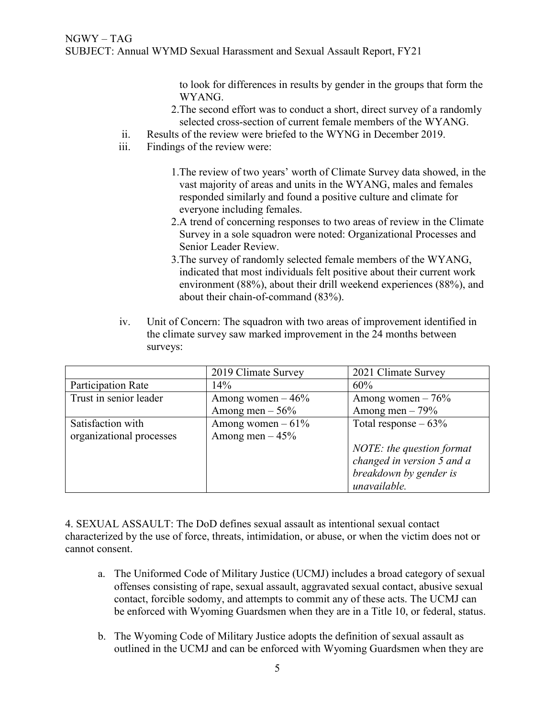to look for differences in results by gender in the groups that form the WYANG.

- 2.The second effort was to conduct a short, direct survey of a randomly selected cross-section of current female members of the WYANG.
- ii. Results of the review were briefed to the WYNG in December 2019.
- iii. Findings of the review were:
	- 1.The review of two years' worth of Climate Survey data showed, in the vast majority of areas and units in the WYANG, males and females responded similarly and found a positive culture and climate for everyone including females.
	- 2.A trend of concerning responses to two areas of review in the Climate Survey in a sole squadron were noted: Organizational Processes and Senior Leader Review.
	- 3.The survey of randomly selected female members of the WYANG, indicated that most individuals felt positive about their current work environment (88%), about their drill weekend experiences (88%), and about their chain-of-command (83%).
- iv. Unit of Concern: The squadron with two areas of improvement identified in the climate survey saw marked improvement in the 24 months between surveys:

|                          | 2019 Climate Survey | 2021 Climate Survey        |  |
|--------------------------|---------------------|----------------------------|--|
| Participation Rate       | 14%                 | 60%                        |  |
| Trust in senior leader   | Among women $-46\%$ | Among women $-76%$         |  |
|                          | Among men $-56%$    | Among men $-79%$           |  |
| Satisfaction with        | Among women $-61\%$ | Total response $-63\%$     |  |
| organizational processes | Among men $-45%$    |                            |  |
|                          |                     | NOTE: the question format  |  |
|                          |                     | changed in version 5 and a |  |
|                          |                     | breakdown by gender is     |  |
|                          |                     | unavailable.               |  |

4. SEXUAL ASSAULT: The DoD defines sexual assault as intentional sexual contact characterized by the use of force, threats, intimidation, or abuse, or when the victim does not or cannot consent.

- a. The Uniformed Code of Military Justice (UCMJ) includes a broad category of sexual offenses consisting of rape, sexual assault, aggravated sexual contact, abusive sexual contact, forcible sodomy, and attempts to commit any of these acts. The UCMJ can be enforced with Wyoming Guardsmen when they are in a Title 10, or federal, status.
- b. The Wyoming Code of Military Justice adopts the definition of sexual assault as outlined in the UCMJ and can be enforced with Wyoming Guardsmen when they are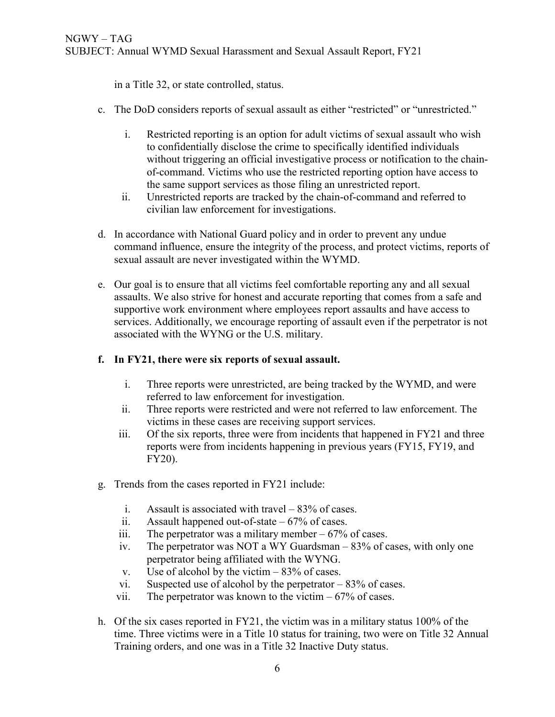in a Title 32, or state controlled, status.

- c. The DoD considers reports of sexual assault as either "restricted" or "unrestricted."
	- i. Restricted reporting is an option for adult victims of sexual assault who wish to confidentially disclose the crime to specifically identified individuals without triggering an official investigative process or notification to the chainof-command. Victims who use the restricted reporting option have access to the same support services as those filing an unrestricted report.
	- ii. Unrestricted reports are tracked by the chain-of-command and referred to civilian law enforcement for investigations.
- d. In accordance with National Guard policy and in order to prevent any undue command influence, ensure the integrity of the process, and protect victims, reports of sexual assault are never investigated within the WYMD.
- e. Our goal is to ensure that all victims feel comfortable reporting any and all sexual assaults. We also strive for honest and accurate reporting that comes from a safe and supportive work environment where employees report assaults and have access to services. Additionally, we encourage reporting of assault even if the perpetrator is not associated with the WYNG or the U.S. military.

#### **f. In FY21, there were six reports of sexual assault.**

- i. Three reports were unrestricted, are being tracked by the WYMD, and were referred to law enforcement for investigation.
- ii. Three reports were restricted and were not referred to law enforcement. The victims in these cases are receiving support services.
- iii. Of the six reports, three were from incidents that happened in FY21 and three reports were from incidents happening in previous years (FY15, FY19, and FY20).
- g. Trends from the cases reported in FY21 include:
	- i. Assault is associated with travel  $-83\%$  of cases.
	- ii. Assault happened out-of-state  $-67\%$  of cases.
	- iii. The perpetrator was a military member  $-67\%$  of cases.
	- iv. The perpetrator was NOT a WY Guardsman 83% of cases, with only one perpetrator being affiliated with the WYNG.
	- v. Use of alcohol by the victim  $-83\%$  of cases.
	- vi. Suspected use of alcohol by the perpetrator 83% of cases.
	- vii. The perpetrator was known to the victim  $-67%$  of cases.
- h. Of the six cases reported in FY21, the victim was in a military status 100% of the time. Three victims were in a Title 10 status for training, two were on Title 32 Annual Training orders, and one was in a Title 32 Inactive Duty status.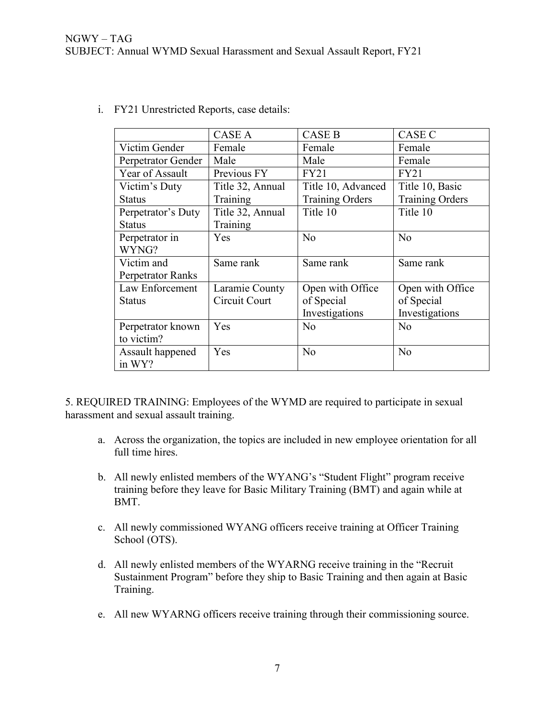|                    | <b>CASE A</b>    | <b>CASE B</b>          | <b>CASE C</b>          |  |
|--------------------|------------------|------------------------|------------------------|--|
| Victim Gender      | Female           | Female                 | Female                 |  |
| Perpetrator Gender | Male             | Male                   | Female                 |  |
| Year of Assault    | Previous FY      | <b>FY21</b>            | <b>FY21</b>            |  |
| Victim's Duty      | Title 32, Annual | Title 10, Advanced     | Title 10, Basic        |  |
| <b>Status</b>      | Training         | <b>Training Orders</b> | <b>Training Orders</b> |  |
| Perpetrator's Duty | Title 32, Annual | Title 10               | Title 10               |  |
| <b>Status</b>      | Training         |                        |                        |  |
| Perpetrator in     | <b>Yes</b>       | No                     | No                     |  |
| WYNG?              |                  |                        |                        |  |
| Victim and         | Same rank        | Same rank              | Same rank              |  |
| Perpetrator Ranks  |                  |                        |                        |  |
| Law Enforcement    | Laramie County   | Open with Office       | Open with Office       |  |
| <b>Status</b>      | Circuit Court    | of Special             | of Special             |  |
|                    |                  | Investigations         | Investigations         |  |
| Perpetrator known  | Yes              | No                     | N <sub>o</sub>         |  |
| to victim?         |                  |                        |                        |  |
| Assault happened   | Yes              | No                     | No                     |  |
| in WY?             |                  |                        |                        |  |

i. FY21 Unrestricted Reports, case details:

5. REQUIRED TRAINING: Employees of the WYMD are required to participate in sexual harassment and sexual assault training.

- a. Across the organization, the topics are included in new employee orientation for all full time hires.
- b. All newly enlisted members of the WYANG's "Student Flight" program receive training before they leave for Basic Military Training (BMT) and again while at BMT.
- c. All newly commissioned WYANG officers receive training at Officer Training School (OTS).
- d. All newly enlisted members of the WYARNG receive training in the "Recruit Sustainment Program" before they ship to Basic Training and then again at Basic Training.
- e. All new WYARNG officers receive training through their commissioning source.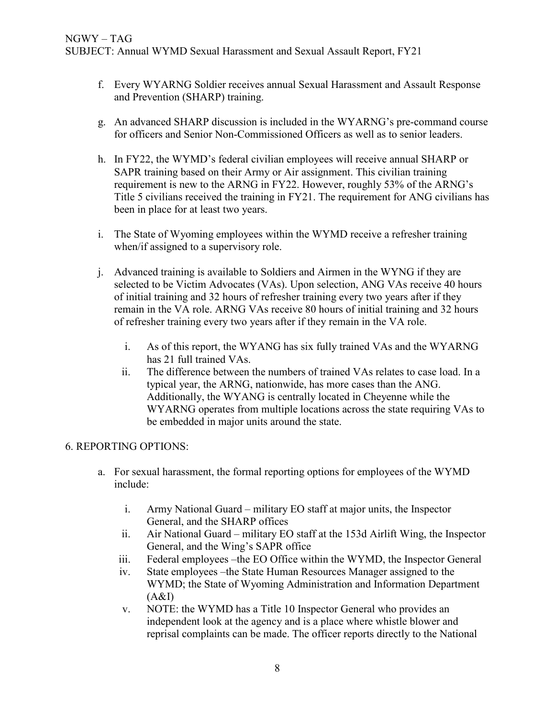- f. Every WYARNG Soldier receives annual Sexual Harassment and Assault Response and Prevention (SHARP) training.
- g. An advanced SHARP discussion is included in the WYARNG's pre-command course for officers and Senior Non-Commissioned Officers as well as to senior leaders.
- h. In FY22, the WYMD's federal civilian employees will receive annual SHARP or SAPR training based on their Army or Air assignment. This civilian training requirement is new to the ARNG in FY22. However, roughly 53% of the ARNG's Title 5 civilians received the training in FY21. The requirement for ANG civilians has been in place for at least two years.
- i. The State of Wyoming employees within the WYMD receive a refresher training when/if assigned to a supervisory role.
- j. Advanced training is available to Soldiers and Airmen in the WYNG if they are selected to be Victim Advocates (VAs). Upon selection, ANG VAs receive 40 hours of initial training and 32 hours of refresher training every two years after if they remain in the VA role. ARNG VAs receive 80 hours of initial training and 32 hours of refresher training every two years after if they remain in the VA role.
	- i. As of this report, the WYANG has six fully trained VAs and the WYARNG has 21 full trained VAs.
	- ii. The difference between the numbers of trained VAs relates to case load. In a typical year, the ARNG, nationwide, has more cases than the ANG. Additionally, the WYANG is centrally located in Cheyenne while the WYARNG operates from multiple locations across the state requiring VAs to be embedded in major units around the state.

### 6. REPORTING OPTIONS:

- a. For sexual harassment, the formal reporting options for employees of the WYMD include:
	- i. Army National Guard military EO staff at major units, the Inspector General, and the SHARP offices
	- ii. Air National Guard military EO staff at the 153d Airlift Wing, the Inspector General, and the Wing's SAPR office
	- iii. Federal employees –the EO Office within the WYMD, the Inspector General
	- iv. State employees –the State Human Resources Manager assigned to the WYMD; the State of Wyoming Administration and Information Department  $(A&I)$
	- v. NOTE: the WYMD has a Title 10 Inspector General who provides an independent look at the agency and is a place where whistle blower and reprisal complaints can be made. The officer reports directly to the National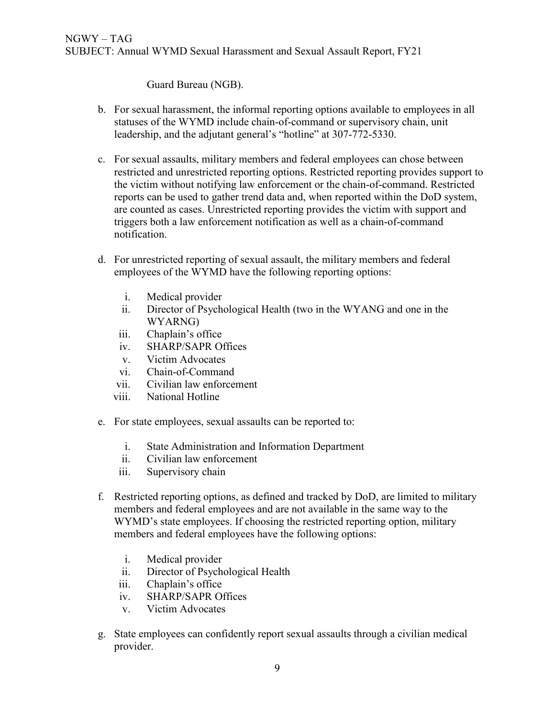Guard Bureau (NGB).

- b. For sexual harassment, the informal reporting options available to employees in all statuses of the WYMD include chain-of-command or supervisory chain, unit leadership, and the adjutant general's "hotline" at 307-772-5330.
- c. For sexual assaults, military members and federal employees can chose between restricted and unrestricted reporting options. Restricted reporting provides support to the victim without notifying law enforcement or the chain-of-command. Restricted reports can be used to gather trend data and, when reported within the DoD system, are counted as cases. Unrestricted reporting provides the victim with support and triggers both a law enforcement notification as well as a chain-of-command notification.
- d. For unrestricted reporting of sexual assault, the military members and federal employees of the WYMD have the following reporting options:
	- i. Medical provider
	- ii. Director of Psychological Health (two in the WYANG and one in the WYARNG)
	- iii. Chaplain's office
	- iv. SHARP/SAPR Offices
	- v. Victim Advocates
	- vi. Chain-of-Command
	- vii. Civilian law enforcement
	- viii. National Hotline
- e. For state employees, sexual assaults can be reported to:
	- i. State Administration and Information Department
	- ii. Civilian law enforcement
	- iii. Supervisory chain
- f. Restricted reporting options, as defined and tracked by DoD, are limited to military members and federal employees and are not available in the same way to the WYMD's state employees. If choosing the restricted reporting option, military members and federal employees have the following options:
	- i. Medical provider
	- ii. Director of Psychological Health
	- iii. Chaplain's office
	- iv. SHARP/SAPR Offices
	- v. Victim Advocates
- g. State employees can confidently report sexual assaults through a civilian medical provider.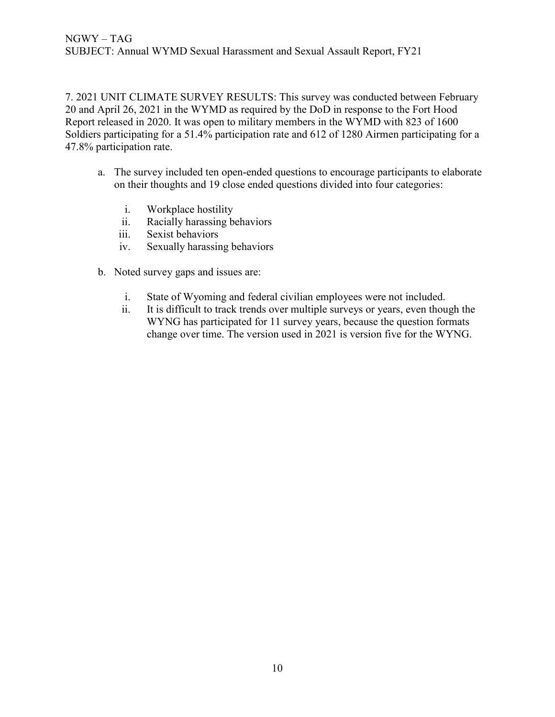7. 2021 UNIT CLIMATE SURVEY RESULTS: This survey was conducted between February 20 and April 26, 2021 in the WYMD as required by the DoD in response to the Fort Hood Report released in 2020. It was open to military members in the WYMD with 823 of 1600 Soldiers participating for a 51.4% participation rate and 612 of 1280 Airmen participating for a 47.8% participation rate.

- a. The survey included ten open-ended questions to encourage participants to elaborate on their thoughts and 19 close ended questions divided into four categories:
	- i. Workplace hostility
	- ii. Racially harassing behaviors
	- iii. Sexist behaviors
	- iv. Sexually harassing behaviors
- b. Noted survey gaps and issues are:
	- i. State of Wyoming and federal civilian employees were not included.
	- ii. It is difficult to track trends over multiple surveys or years, even though the WYNG has participated for 11 survey years, because the question formats change over time. The version used in 2021 is version five for the WYNG.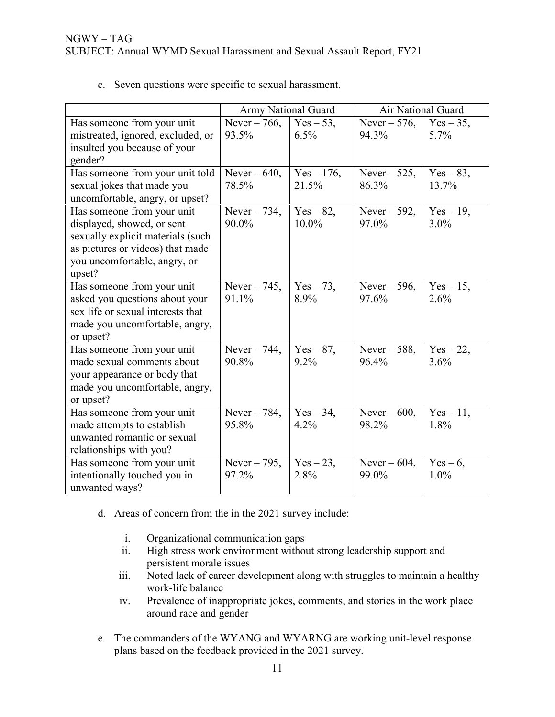|                                   | Army National Guard |              | Air National Guard |              |
|-----------------------------------|---------------------|--------------|--------------------|--------------|
| Has someone from your unit        | Never $-766$ ,      | $Yes - 53$ , | Never $-576$ ,     | $Yes - 35$ , |
| mistreated, ignored, excluded, or | 93.5%               | 6.5%         | 94.3%              | 5.7%         |
| insulted you because of your      |                     |              |                    |              |
| gender?                           |                     |              |                    |              |
| Has someone from your unit told   | Never $-640$ ,      | $Yes - 176,$ | Never $-525$ ,     | $Yes - 83,$  |
| sexual jokes that made you        | 78.5%               | 21.5%        | 86.3%              | 13.7%        |
| uncomfortable, angry, or upset?   |                     |              |                    |              |
| Has someone from your unit        | Never $-734$ ,      | $Yes - 82,$  | Never $-592$ ,     | $Yes - 19$ , |
| displayed, showed, or sent        | 90.0%               | $10.0\%$     | 97.0%              | $3.0\%$      |
| sexually explicit materials (such |                     |              |                    |              |
| as pictures or videos) that made  |                     |              |                    |              |
| you uncomfortable, angry, or      |                     |              |                    |              |
| upset?                            |                     |              |                    |              |
| Has someone from your unit        | Never $-745$ ,      | $Yes - 73,$  | Never $-596$ ,     | $Yes-15,$    |
| asked you questions about your    | 91.1%               | 8.9%         | 97.6%              | 2.6%         |
| sex life or sexual interests that |                     |              |                    |              |
| made you uncomfortable, angry,    |                     |              |                    |              |
| or upset?                         |                     |              |                    |              |
| Has someone from your unit        | Never $-744$ ,      | $Yes-87,$    | Never $-588$ ,     | $Yes - 22,$  |
| made sexual comments about        | 90.8%               | 9.2%         | 96.4%              | 3.6%         |
| your appearance or body that      |                     |              |                    |              |
| made you uncomfortable, angry,    |                     |              |                    |              |
| or upset?                         |                     |              |                    |              |
| Has someone from your unit        | Never $-784$ ,      | $Yes-34,$    | Never $-600$ ,     | $Yes - 11,$  |
| made attempts to establish        | 95.8%               | 4.2%         | 98.2%              | 1.8%         |
| unwanted romantic or sexual       |                     |              |                    |              |
| relationships with you?           |                     |              |                    |              |
| Has someone from your unit        | Never $-795$ ,      | $Yes-23,$    | Never $-604$ ,     | $Yes - 6,$   |
| intentionally touched you in      | 97.2%               | 2.8%         | 99.0%              | 1.0%         |
| unwanted ways?                    |                     |              |                    |              |

c. Seven questions were specific to sexual harassment.

- d. Areas of concern from the in the 2021 survey include:
	- i. Organizational communication gaps
	- ii. High stress work environment without strong leadership support and persistent morale issues
	- iii. Noted lack of career development along with struggles to maintain a healthy work-life balance
	- iv. Prevalence of inappropriate jokes, comments, and stories in the work place around race and gender
- e. The commanders of the WYANG and WYARNG are working unit-level response plans based on the feedback provided in the 2021 survey.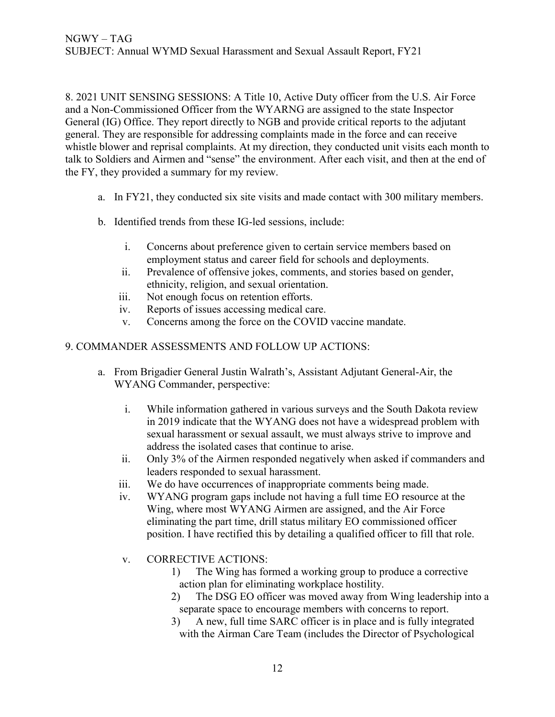8. 2021 UNIT SENSING SESSIONS: A Title 10, Active Duty officer from the U.S. Air Force and a Non-Commissioned Officer from the WYARNG are assigned to the state Inspector General (IG) Office. They report directly to NGB and provide critical reports to the adjutant general. They are responsible for addressing complaints made in the force and can receive whistle blower and reprisal complaints. At my direction, they conducted unit visits each month to talk to Soldiers and Airmen and "sense" the environment. After each visit, and then at the end of the FY, they provided a summary for my review.

- a. In FY21, they conducted six site visits and made contact with 300 military members.
- b. Identified trends from these IG-led sessions, include:
	- i. Concerns about preference given to certain service members based on employment status and career field for schools and deployments.
	- ii. Prevalence of offensive jokes, comments, and stories based on gender, ethnicity, religion, and sexual orientation.
	- iii. Not enough focus on retention efforts.
	- iv. Reports of issues accessing medical care.
	- v. Concerns among the force on the COVID vaccine mandate.

#### 9. COMMANDER ASSESSMENTS AND FOLLOW UP ACTIONS:

- a. From Brigadier General Justin Walrath's, Assistant Adjutant General-Air, the WYANG Commander, perspective:
	- i. While information gathered in various surveys and the South Dakota review in 2019 indicate that the WYANG does not have a widespread problem with sexual harassment or sexual assault, we must always strive to improve and address the isolated cases that continue to arise.
	- ii. Only 3% of the Airmen responded negatively when asked if commanders and leaders responded to sexual harassment.
	- iii. We do have occurrences of inappropriate comments being made.
	- iv. WYANG program gaps include not having a full time EO resource at the Wing, where most WYANG Airmen are assigned, and the Air Force eliminating the part time, drill status military EO commissioned officer position. I have rectified this by detailing a qualified officer to fill that role.
	- v. CORRECTIVE ACTIONS:
		- 1) The Wing has formed a working group to produce a corrective action plan for eliminating workplace hostility.
		- 2) The DSG EO officer was moved away from Wing leadership into a separate space to encourage members with concerns to report.
		- 3) A new, full time SARC officer is in place and is fully integrated with the Airman Care Team (includes the Director of Psychological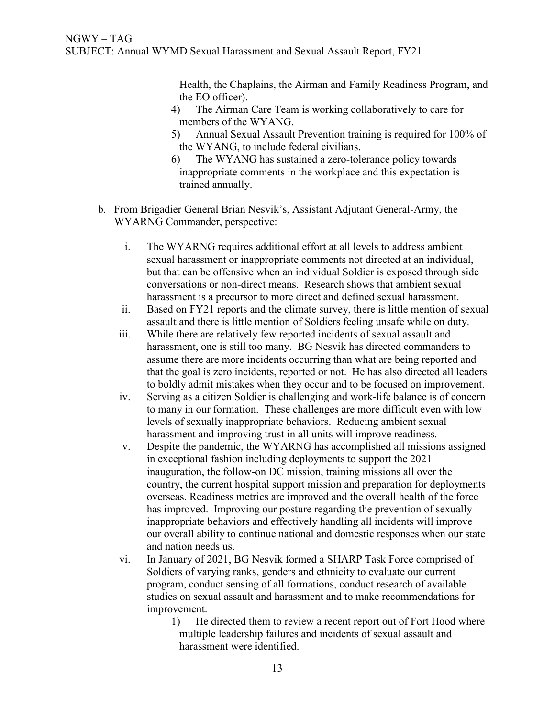Health, the Chaplains, the Airman and Family Readiness Program, and the EO officer).

- 4) The Airman Care Team is working collaboratively to care for members of the WYANG.
- 5) Annual Sexual Assault Prevention training is required for 100% of the WYANG, to include federal civilians.
- 6) The WYANG has sustained a zero-tolerance policy towards inappropriate comments in the workplace and this expectation is trained annually.
- b. From Brigadier General Brian Nesvik's, Assistant Adjutant General-Army, the WYARNG Commander, perspective:
	- i. The WYARNG requires additional effort at all levels to address ambient sexual harassment or inappropriate comments not directed at an individual, but that can be offensive when an individual Soldier is exposed through side conversations or non-direct means. Research shows that ambient sexual harassment is a precursor to more direct and defined sexual harassment.
	- ii. Based on FY21 reports and the climate survey, there is little mention of sexual assault and there is little mention of Soldiers feeling unsafe while on duty.
	- iii. While there are relatively few reported incidents of sexual assault and harassment, one is still too many. BG Nesvik has directed commanders to assume there are more incidents occurring than what are being reported and that the goal is zero incidents, reported or not. He has also directed all leaders to boldly admit mistakes when they occur and to be focused on improvement.
	- iv. Serving as a citizen Soldier is challenging and work-life balance is of concern to many in our formation. These challenges are more difficult even with low levels of sexually inappropriate behaviors. Reducing ambient sexual harassment and improving trust in all units will improve readiness.
	- v. Despite the pandemic, the WYARNG has accomplished all missions assigned in exceptional fashion including deployments to support the 2021 inauguration, the follow-on DC mission, training missions all over the country, the current hospital support mission and preparation for deployments overseas. Readiness metrics are improved and the overall health of the force has improved. Improving our posture regarding the prevention of sexually inappropriate behaviors and effectively handling all incidents will improve our overall ability to continue national and domestic responses when our state and nation needs us.
	- vi. In January of 2021, BG Nesvik formed a SHARP Task Force comprised of Soldiers of varying ranks, genders and ethnicity to evaluate our current program, conduct sensing of all formations, conduct research of available studies on sexual assault and harassment and to make recommendations for improvement.
		- 1) He directed them to review a recent report out of Fort Hood where multiple leadership failures and incidents of sexual assault and harassment were identified.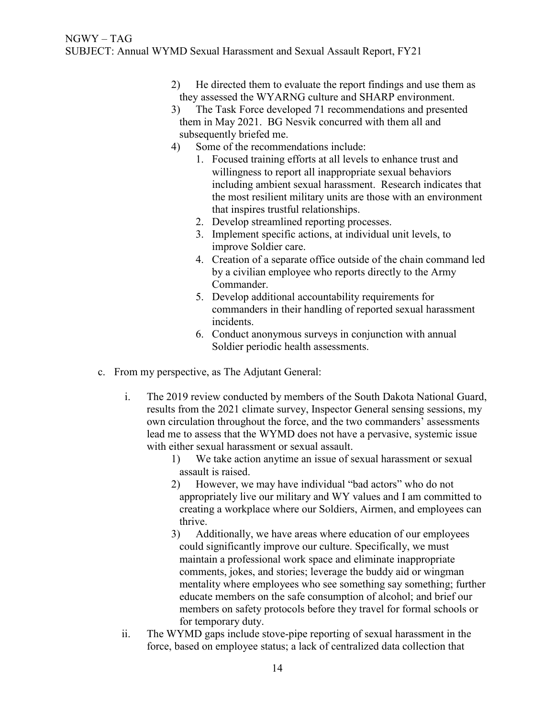- 2) He directed them to evaluate the report findings and use them as they assessed the WYARNG culture and SHARP environment.
- 3) The Task Force developed 71 recommendations and presented them in May 2021. BG Nesvik concurred with them all and subsequently briefed me.
- 4) Some of the recommendations include:
	- 1. Focused training efforts at all levels to enhance trust and willingness to report all inappropriate sexual behaviors including ambient sexual harassment. Research indicates that the most resilient military units are those with an environment that inspires trustful relationships.
		- 2. Develop streamlined reporting processes.
		- 3. Implement specific actions, at individual unit levels, to improve Soldier care.
		- 4. Creation of a separate office outside of the chain command led by a civilian employee who reports directly to the Army Commander.
		- 5. Develop additional accountability requirements for commanders in their handling of reported sexual harassment incidents.
		- 6. Conduct anonymous surveys in conjunction with annual Soldier periodic health assessments.
- c. From my perspective, as The Adjutant General:
	- i. The 2019 review conducted by members of the South Dakota National Guard, results from the 2021 climate survey, Inspector General sensing sessions, my own circulation throughout the force, and the two commanders' assessments lead me to assess that the WYMD does not have a pervasive, systemic issue with either sexual harassment or sexual assault.
		- 1) We take action anytime an issue of sexual harassment or sexual assault is raised.
		- 2) However, we may have individual "bad actors" who do not appropriately live our military and WY values and I am committed to creating a workplace where our Soldiers, Airmen, and employees can thrive.
		- 3) Additionally, we have areas where education of our employees could significantly improve our culture. Specifically, we must maintain a professional work space and eliminate inappropriate comments, jokes, and stories; leverage the buddy aid or wingman mentality where employees who see something say something; further educate members on the safe consumption of alcohol; and brief our members on safety protocols before they travel for formal schools or for temporary duty.
	- ii. The WYMD gaps include stove-pipe reporting of sexual harassment in the force, based on employee status; a lack of centralized data collection that